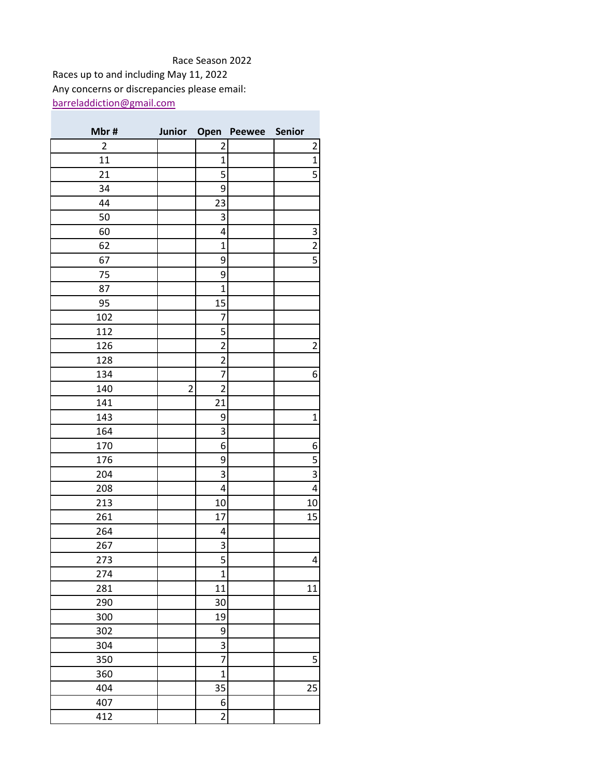## Race Season 2022

[barreladdiction@gmail.com](mailto:barreladdiction@gmail.com) Races up to and including May 11, 2022 Any concerns or discrepancies please email:

| Mbr#           |                |                         | Junior Open Peewee Senior |                         |
|----------------|----------------|-------------------------|---------------------------|-------------------------|
| $\overline{2}$ |                | 2                       |                           | 2                       |
| 11             |                | $\mathbf 1$             |                           | $\mathbf 1$             |
| 21             |                | 5                       |                           | 5                       |
| 34             |                | 9                       |                           |                         |
| 44             |                | 23                      |                           |                         |
| 50             |                | 3                       |                           |                         |
| 60             |                | 4                       |                           | 3                       |
| 62             |                | $\mathbf 1$             |                           | $\overline{\mathbf{c}}$ |
| 67             |                | 9                       |                           | 5                       |
| 75             |                | 9                       |                           |                         |
| 87             |                | $\overline{1}$          |                           |                         |
| 95             |                | 15                      |                           |                         |
| 102            |                | 7                       |                           |                         |
| 112            |                | 5                       |                           |                         |
| 126            |                | $\overline{2}$          |                           | $\overline{2}$          |
| 128            |                | $\overline{2}$          |                           |                         |
| 134            |                | 7                       |                           | 6                       |
| 140            | $\overline{2}$ | $\overline{2}$          |                           |                         |
| 141            |                | 21                      |                           |                         |
| 143            |                | 9                       |                           | $\mathbf 1$             |
| 164            |                | 3                       |                           |                         |
| 170            |                | 6                       |                           | 6                       |
| 176            |                | 9                       |                           | 5                       |
| 204            |                | 3                       |                           | 3                       |
| 208            |                | 4                       |                           | $\overline{\mathbf{4}}$ |
| 213            |                | 10                      |                           | 10                      |
| 261            |                | 17                      |                           | 15                      |
| 264            |                | 4                       |                           |                         |
| 267            |                | 3                       |                           |                         |
| 273            |                | $\overline{5}$          |                           | 4                       |
| 274            |                | $\mathbf 1$             |                           |                         |
| 281            |                | 11                      |                           | 11                      |
| 290            |                | 30                      |                           |                         |
| 300            |                | 19                      |                           |                         |
| 302            |                | 9                       |                           |                         |
| 304            |                | 3                       |                           |                         |
| 350            |                | 7                       |                           | 5                       |
| 360            |                | $\mathbf 1$             |                           |                         |
| 404            |                | 35                      |                           | 25                      |
| 407            |                | $\boldsymbol{6}$        |                           |                         |
| 412            |                | $\overline{\mathbf{c}}$ |                           |                         |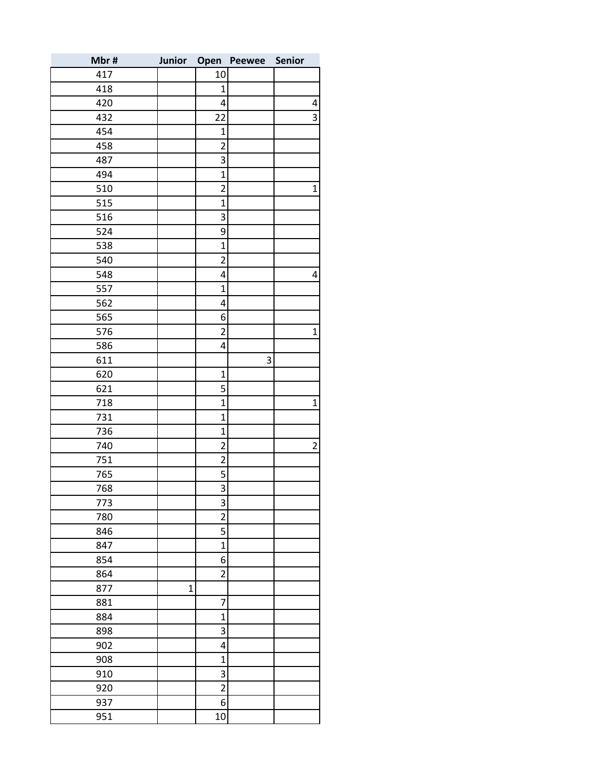| Mbr# | Junior       | Open                    | <b>Peewee</b> | Senior         |
|------|--------------|-------------------------|---------------|----------------|
| 417  |              | 10                      |               |                |
| 418  |              | $\mathbf{1}$            |               |                |
| 420  |              | 4                       |               | 4              |
| 432  |              | 22                      |               | 3              |
| 454  |              | $\mathbf 1$             |               |                |
| 458  |              | $\overline{c}$          |               |                |
| 487  |              | 3                       |               |                |
| 494  |              | $\mathbf{1}$            |               |                |
| 510  |              | $\overline{2}$          |               | $\mathbf{1}$   |
| 515  |              | 1                       |               |                |
| 516  |              | 3                       |               |                |
| 524  |              | 9                       |               |                |
| 538  |              | $\overline{1}$          |               |                |
| 540  |              | $\overline{2}$          |               |                |
| 548  |              | 4                       |               | 4              |
| 557  |              | $\mathbf{1}$            |               |                |
| 562  |              | 4                       |               |                |
| 565  |              | 6                       |               |                |
| 576  |              | $\overline{2}$          |               | $\mathbf 1$    |
| 586  |              | 4                       |               |                |
| 611  |              |                         | 3             |                |
| 620  |              | $\mathbf 1$             |               |                |
| 621  |              | 5                       |               |                |
| 718  |              | $\mathbf{1}$            |               | $\mathbf{1}$   |
| 731  |              | $\mathbf{1}$            |               |                |
| 736  |              | $\mathbf{1}$            |               |                |
| 740  |              | $\overline{2}$          |               | $\overline{2}$ |
| 751  |              | $\overline{2}$          |               |                |
| 765  |              | 5                       |               |                |
| 768  |              | $\overline{3}$          |               |                |
| 773  |              | 3                       |               |                |
| 780  |              | $\overline{2}$          |               |                |
| 846  |              | 5                       |               |                |
| 847  |              | $\mathbf{1}$            |               |                |
| 854  |              | 6                       |               |                |
| 864  |              | $\overline{\mathbf{c}}$ |               |                |
| 877  | $\mathbf{1}$ |                         |               |                |
| 881  |              | 7                       |               |                |
| 884  |              | $\mathbf{1}$            |               |                |
| 898  |              | 3                       |               |                |
| 902  |              | 4                       |               |                |
| 908  |              | $\mathbf 1$             |               |                |
| 910  |              | 3                       |               |                |
| 920  |              | $\overline{c}$          |               |                |
| 937  |              | 6                       |               |                |
| 951  |              | 10                      |               |                |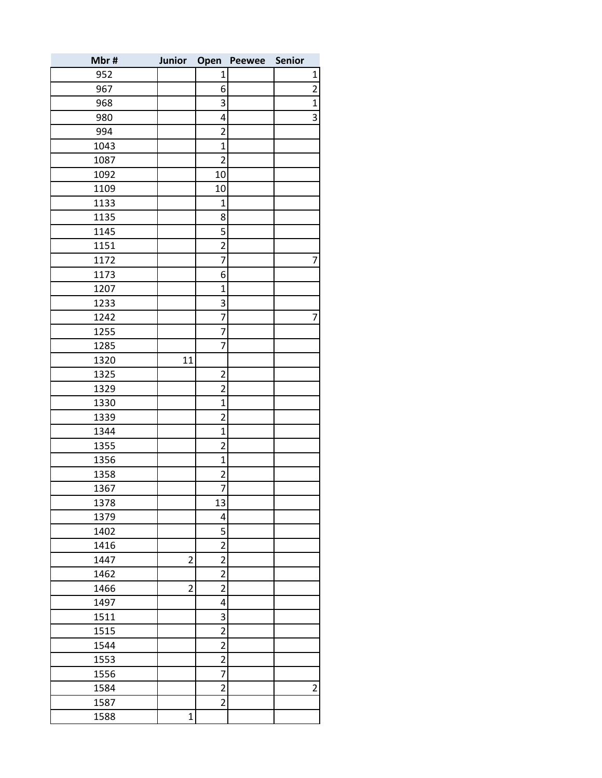| Mbr# | Junior         | Open                    | <b>Peewee</b> | Senior |                |
|------|----------------|-------------------------|---------------|--------|----------------|
| 952  |                | 1                       |               |        | 1              |
| 967  |                | 6                       |               |        | $\overline{2}$ |
| 968  |                | 3                       |               |        | $\mathbf{1}$   |
| 980  |                | 4                       |               |        | 3              |
| 994  |                | $\overline{2}$          |               |        |                |
| 1043 |                | $\overline{1}$          |               |        |                |
| 1087 |                | $\overline{2}$          |               |        |                |
| 1092 |                | 10                      |               |        |                |
| 1109 |                | 10                      |               |        |                |
| 1133 |                | $\mathbf{1}$            |               |        |                |
| 1135 |                | 8                       |               |        |                |
| 1145 |                | 5                       |               |        |                |
| 1151 |                | $\overline{c}$          |               |        |                |
| 1172 |                | 7                       |               |        | 7              |
| 1173 |                | 6                       |               |        |                |
| 1207 |                | $\mathbf{1}$            |               |        |                |
| 1233 |                | 3                       |               |        |                |
| 1242 |                | $\overline{7}$          |               |        | 7              |
| 1255 |                | $\overline{7}$          |               |        |                |
| 1285 |                | 7                       |               |        |                |
| 1320 | 11             |                         |               |        |                |
| 1325 |                | $\overline{2}$          |               |        |                |
| 1329 |                | $\overline{2}$          |               |        |                |
| 1330 |                | $\mathbf 1$             |               |        |                |
| 1339 |                | $\overline{2}$          |               |        |                |
| 1344 |                | $\mathbf 1$             |               |        |                |
| 1355 |                | $\overline{c}$          |               |        |                |
| 1356 |                | $\mathbf{1}$            |               |        |                |
| 1358 |                | $\overline{\mathbf{c}}$ |               |        |                |
| 1367 |                | $\overline{7}$          |               |        |                |
| 1378 |                | 13                      |               |        |                |
| 1379 |                | 4                       |               |        |                |
| 1402 |                | 5                       |               |        |                |
| 1416 |                | $\overline{2}$          |               |        |                |
| 1447 | $\overline{2}$ | $\overline{2}$          |               |        |                |
| 1462 |                | $\overline{2}$          |               |        |                |
| 1466 | $\overline{2}$ | $\overline{2}$          |               |        |                |
| 1497 |                | 4                       |               |        |                |
| 1511 |                | 3                       |               |        |                |
| 1515 |                | $\overline{2}$          |               |        |                |
| 1544 |                | $\overline{2}$          |               |        |                |
| 1553 |                | $\overline{2}$          |               |        |                |
| 1556 |                | $\overline{7}$          |               |        |                |
| 1584 |                | $\overline{2}$          |               |        | $\overline{2}$ |
| 1587 |                | $\overline{2}$          |               |        |                |
| 1588 | $\mathbf 1$    |                         |               |        |                |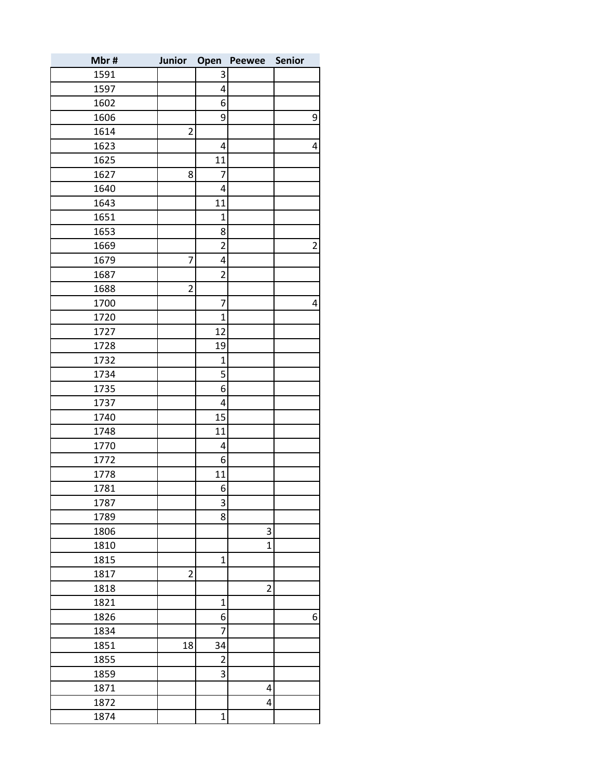| Mbr# | Junior         | Open             | Peewee         | <b>Senior</b>  |
|------|----------------|------------------|----------------|----------------|
| 1591 |                | 3                |                |                |
| 1597 |                | 4                |                |                |
| 1602 |                | 6                |                |                |
| 1606 |                | 9                |                | 9              |
| 1614 | $\overline{c}$ |                  |                |                |
| 1623 |                | 4                |                | 4              |
| 1625 |                | 11               |                |                |
| 1627 | 8              | 7                |                |                |
| 1640 |                | 4                |                |                |
| 1643 |                | 11               |                |                |
| 1651 |                | $\mathbf 1$      |                |                |
| 1653 |                | 8                |                |                |
| 1669 |                | $\overline{2}$   |                | $\overline{2}$ |
| 1679 | 7              | 4                |                |                |
| 1687 |                | $\overline{2}$   |                |                |
| 1688 | $\overline{c}$ |                  |                |                |
| 1700 |                | 7                |                | 4              |
| 1720 |                | $\mathbf{1}$     |                |                |
| 1727 |                | 12               |                |                |
| 1728 |                | 19               |                |                |
| 1732 |                | $\mathbf{1}$     |                |                |
| 1734 |                | 5                |                |                |
| 1735 |                | 6                |                |                |
| 1737 |                | 4                |                |                |
| 1740 |                | 15               |                |                |
| 1748 |                | 11               |                |                |
| 1770 |                | 4                |                |                |
| 1772 |                | 6                |                |                |
| 1778 |                | 11               |                |                |
| 1781 |                | $6 \overline{6}$ |                |                |
| 1787 |                | 3                |                |                |
| 1789 |                | 8                |                |                |
| 1806 |                |                  | 3              |                |
| 1810 |                |                  | $\mathbf{1}$   |                |
| 1815 |                | $\mathbf 1$      |                |                |
| 1817 | $\overline{c}$ |                  |                |                |
| 1818 |                |                  | $\overline{c}$ |                |
| 1821 |                | $\mathbf{1}$     |                |                |
| 1826 |                | 6                |                | 6              |
| 1834 |                | $\overline{7}$   |                |                |
| 1851 | 18             | 34               |                |                |
| 1855 |                | $\overline{2}$   |                |                |
| 1859 |                | 3                |                |                |
| 1871 |                |                  | 4              |                |
| 1872 |                |                  | 4              |                |
| 1874 |                | $\mathbf 1$      |                |                |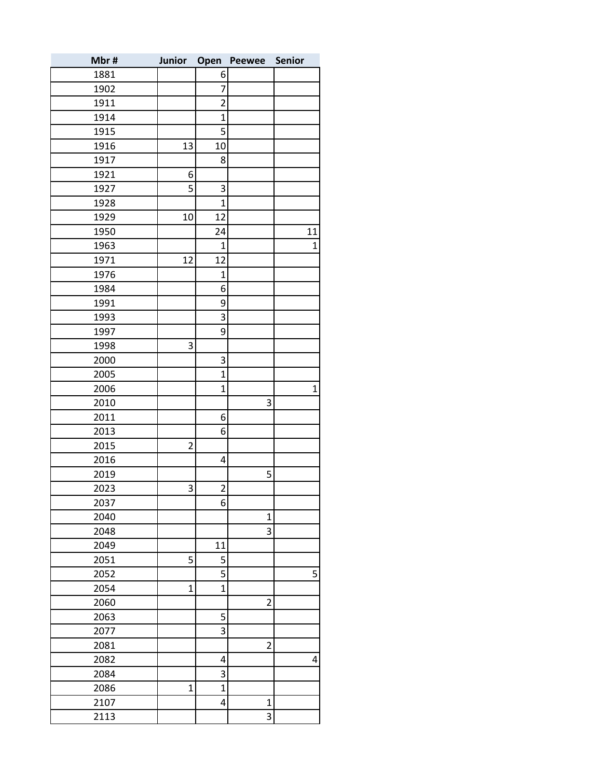| Mbr# | Junior         | Open           | <b>Peewee</b>  | Senior       |
|------|----------------|----------------|----------------|--------------|
| 1881 |                | 6              |                |              |
| 1902 |                | $\overline{7}$ |                |              |
| 1911 |                | $\overline{2}$ |                |              |
| 1914 |                | $\mathbf 1$    |                |              |
| 1915 |                | 5              |                |              |
| 1916 | 13             | 10             |                |              |
| 1917 |                | 8              |                |              |
| 1921 | 6              |                |                |              |
| 1927 | 5              | 3              |                |              |
| 1928 |                | $\mathbf{1}$   |                |              |
| 1929 | 10             | 12             |                |              |
| 1950 |                | 24             |                | 11           |
| 1963 |                | $\overline{1}$ |                | $\mathbf 1$  |
| 1971 | 12             | 12             |                |              |
| 1976 |                | $\mathbf{1}$   |                |              |
| 1984 |                | 6              |                |              |
| 1991 |                | 9              |                |              |
| 1993 |                | 3              |                |              |
| 1997 |                | 9              |                |              |
| 1998 | 3              |                |                |              |
| 2000 |                | 3              |                |              |
| 2005 |                | $\mathbf{1}$   |                |              |
| 2006 |                | $\mathbf{1}$   |                | $\mathbf{1}$ |
| 2010 |                |                | 3              |              |
| 2011 |                | 6              |                |              |
| 2013 |                | 6              |                |              |
| 2015 | $\overline{2}$ |                |                |              |
| 2016 |                | 4              |                |              |
| 2019 |                |                | 5              |              |
| 2023 | 3              | $\overline{2}$ |                |              |
| 2037 |                | 6              |                |              |
| 2040 |                |                | $\mathbf 1$    |              |
| 2048 |                |                | 3              |              |
| 2049 |                | 11             |                |              |
| 2051 | 5              | 5              |                |              |
| 2052 |                | 5              |                | 5            |
| 2054 | $\mathbf 1$    | $\mathbf{1}$   |                |              |
| 2060 |                |                | $\overline{2}$ |              |
| 2063 |                | 5              |                |              |
| 2077 |                | 3              |                |              |
| 2081 |                |                | $\overline{2}$ |              |
| 2082 |                | 4              |                | 4            |
| 2084 |                | 3              |                |              |
| 2086 | $\overline{1}$ | $\overline{1}$ |                |              |
| 2107 |                | 4              | $\overline{1}$ |              |
| 2113 |                |                | 3              |              |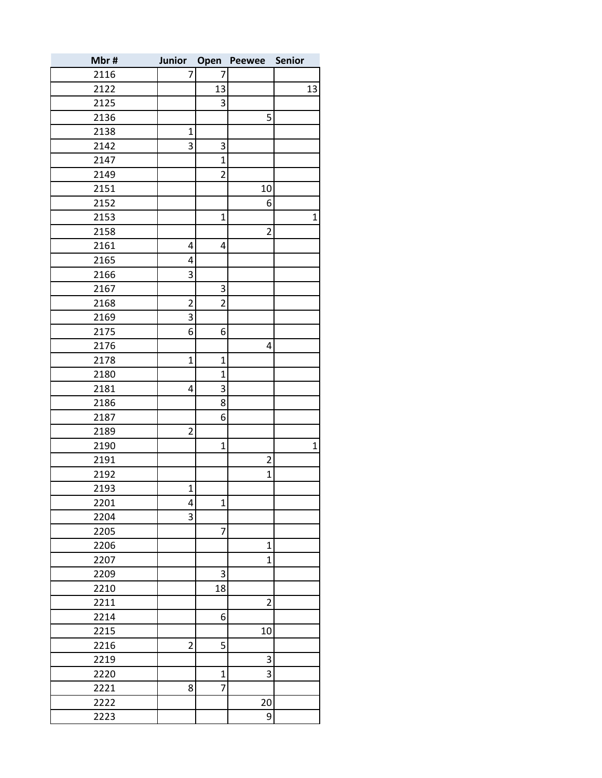| Mbr# | Junior Open    |                | Peewee         | <b>Senior</b> |
|------|----------------|----------------|----------------|---------------|
| 2116 | 7              | 7              |                |               |
| 2122 |                | 13             |                | 13            |
| 2125 |                | 3              |                |               |
| 2136 |                |                | 5              |               |
| 2138 | 1              |                |                |               |
| 2142 | 3              | 3              |                |               |
| 2147 |                | $\mathbf 1$    |                |               |
| 2149 |                | $\overline{2}$ |                |               |
| 2151 |                |                | 10             |               |
| 2152 |                |                | 6              |               |
| 2153 |                | $\mathbf{1}$   |                | 1             |
| 2158 |                |                | $\overline{2}$ |               |
| 2161 | 4              | 4              |                |               |
| 2165 | 4              |                |                |               |
| 2166 | 3              |                |                |               |
| 2167 |                | 3              |                |               |
| 2168 | $\overline{2}$ | $\overline{2}$ |                |               |
| 2169 | 3              |                |                |               |
| 2175 | 6              | 6              |                |               |
| 2176 |                |                | 4              |               |
| 2178 | $\mathbf 1$    | $\mathbf{1}$   |                |               |
| 2180 |                | $\mathbf{1}$   |                |               |
| 2181 | 4              | 3              |                |               |
| 2186 |                | 8              |                |               |
| 2187 |                | 6              |                |               |
| 2189 | $\overline{2}$ |                |                |               |
| 2190 |                | $\mathbf{1}$   |                | $\mathbf{1}$  |
| 2191 |                |                | $\overline{2}$ |               |
| 2192 |                |                | $\mathbf 1$    |               |
| 2193 | 1              |                |                |               |
| 2201 | 4              | $\mathbf{1}$   |                |               |
| 2204 | 3              |                |                |               |
| 2205 |                | 7              |                |               |
| 2206 |                |                | $\mathbf 1$    |               |
| 2207 |                |                | $\mathbf 1$    |               |
| 2209 |                | 3              |                |               |
| 2210 |                | 18             |                |               |
| 2211 |                |                | $\overline{2}$ |               |
| 2214 |                | 6              |                |               |
| 2215 |                |                | 10             |               |
| 2216 | $\overline{2}$ | 5              |                |               |
| 2219 |                |                | 3              |               |
| 2220 |                | $\mathbf 1$    | 3              |               |
| 2221 | 8              | $\overline{7}$ |                |               |
| 2222 |                |                | 20             |               |
| 2223 |                |                | 9              |               |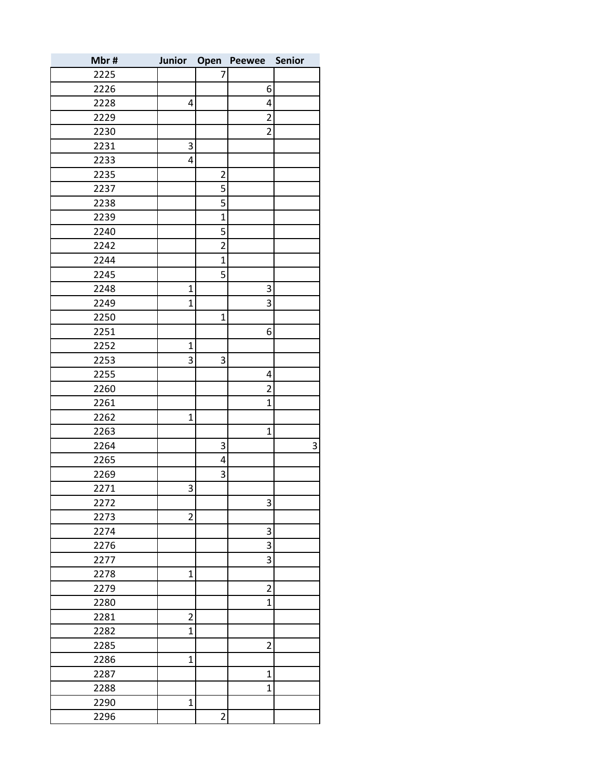| Mbr# | Junior         | Open           | Peewee         | Senior |
|------|----------------|----------------|----------------|--------|
| 2225 |                | 7              |                |        |
| 2226 |                |                | 6              |        |
| 2228 | 4              |                | 4              |        |
| 2229 |                |                | $\overline{2}$ |        |
| 2230 |                |                | $\overline{c}$ |        |
| 2231 | 3              |                |                |        |
| 2233 | 4              |                |                |        |
| 2235 |                | $\overline{2}$ |                |        |
| 2237 |                | 5              |                |        |
| 2238 |                | 5              |                |        |
| 2239 |                | $\mathbf{1}$   |                |        |
| 2240 |                | 5              |                |        |
| 2242 |                | $\overline{2}$ |                |        |
| 2244 |                | $\mathbf{1}$   |                |        |
| 2245 |                | 5              |                |        |
| 2248 | $\mathbf 1$    |                | 3              |        |
| 2249 | $\mathbf{1}$   |                | 3              |        |
| 2250 |                | $\mathbf{1}$   |                |        |
| 2251 |                |                | 6              |        |
| 2252 | $\overline{1}$ |                |                |        |
| 2253 | 3              | 3              |                |        |
| 2255 |                |                | 4              |        |
| 2260 |                |                | $\overline{2}$ |        |
| 2261 |                |                | $\mathbf 1$    |        |
| 2262 | $\mathbf{1}$   |                |                |        |
| 2263 |                |                | $\mathbf{1}$   |        |
| 2264 |                | 3              |                | 3      |
| 2265 |                | 4              |                |        |
| 2269 |                | 3              |                |        |
| 2271 | 3              |                |                |        |
| 2272 |                |                | 3              |        |
| 2273 | $\overline{2}$ |                |                |        |
| 2274 |                |                | 3              |        |
| 2276 |                |                | 3              |        |
| 2277 |                |                | 3              |        |
| 2278 | $\mathbf{1}$   |                |                |        |
| 2279 |                |                | $\overline{c}$ |        |
| 2280 |                |                | $\mathbf 1$    |        |
| 2281 | $\overline{2}$ |                |                |        |
| 2282 | $\mathbf{1}$   |                |                |        |
| 2285 |                |                | $\overline{c}$ |        |
| 2286 | $\mathbf 1$    |                |                |        |
| 2287 |                |                | $\mathbf{1}$   |        |
| 2288 |                |                | $\overline{1}$ |        |
| 2290 | $\overline{1}$ |                |                |        |
| 2296 |                | $\overline{c}$ |                |        |